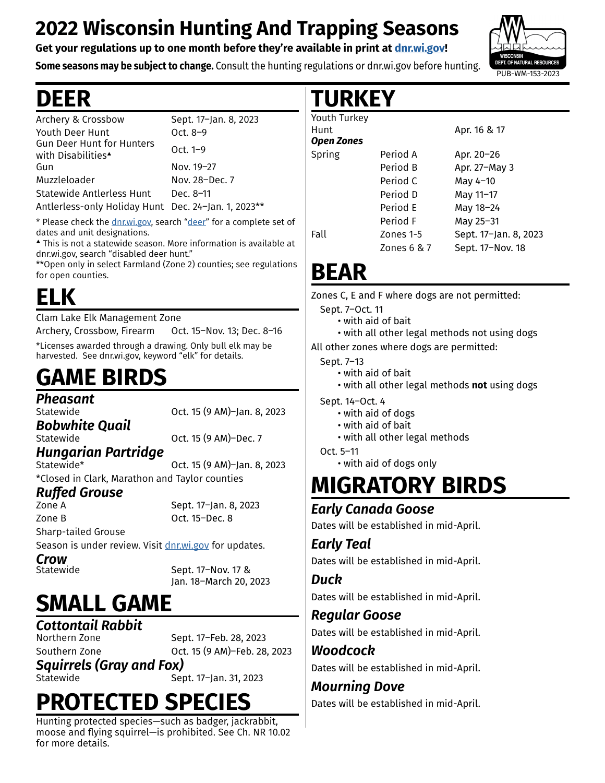## **2022 Wisconsin Hunting And Trapping Seasons**

#### **Get your regulations up to one month before they're available in print at [dnr.wi.gov](http://dnr.wi.gov)!**

**Some seasons may be subject to change.** Consult the hunting regulations or dnr.wi.gov before hunting.

## **DEER**

| Archery & Crossbow                                                 | Sept. 17-Jan. 8, 2023 |
|--------------------------------------------------------------------|-----------------------|
| Youth Deer Hunt                                                    | Oct. $8-9$            |
| <b>Gun Deer Hunt for Hunters</b><br>with Disabilities <sup>4</sup> | Oct. $1-9$            |
| Gun                                                                | Nov. 19-27            |
| Muzzleloader                                                       | Nov. 28-Dec. 7        |
| <b>Statewide Antlerless Hunt</b>                                   | Dec. 8-11             |
| Antlerless-only Holiday Hunt Dec. 24-Jan. 1, 2023**                |                       |

\* Please check the [dnr.wi.gov,](http://dnr.wi.gov) search ["deer](https://dnr.wisconsin.gov/topic/hunt/deer)" for a complete set of dates and unit designations.

▲ This is not a statewide season. More information is available at dnr.wi.gov, search "disabled deer hunt."

\*\*Open only in select Farmland (Zone 2) counties; see regulations for open counties.

# **ELK**

Clam Lake Elk Management Zone Archery, Crossbow, Firearm Oct. 15–Nov. 13; Dec. 8–16

\*Licenses awarded through a drawing. Only bull elk may be harvested. See dnr.wi.gov, keyword "elk" for details.

# **GAME BIRDS**

*Pheasant*

Oct. 15 (9 AM)–Jan. 8, 2023

*Bobwhite Quail* Statewide Oct. 15 (9 AM)–Dec. 7

*Hungarian Partridge* Oct. 15 (9 AM)–Jan. 8, 2023 \*Closed in Clark, Marathon and Taylor counties

## *Ruffed Grouse*

Sept. 17-Jan. 8, 2023 Zone B Oct. 15–Dec. 8 Sharp-tailed Grouse

Season is under review. Visit [dnr.wi.gov](http://dnr.wi.gov) for updates.

*Crow*

Sept. 17-Nov. 17 & Jan. 18–March 20, 2023

# **SMALL GAME**

*Cottontail Rabbit*

Sept. 17–Feb. 28, 2023 Southern Zone Oct. 15 (9 AM)–Feb. 28, 2023

*Squirrels (Gray and Fox)*

Statewide Sept. 17–Jan. 31, 2023

# **PROTECTED SPECIES**

Hunting protected species—such as badger, jackrabbit, moose and flying squirrel—is prohibited. See Ch. NR 10.02 for more details.

## **TURKEY**

| Youth Turkey      |             |                       |
|-------------------|-------------|-----------------------|
| Hunt              |             | Apr. 16 & 17          |
| <b>Open Zones</b> |             |                       |
| Spring            | Period A    | Apr. 20-26            |
|                   | Period B    | Apr. 27-May 3         |
|                   | Period C    | May 4-10              |
|                   | Period D    | May 11-17             |
|                   | Period E    | May 18-24             |
|                   | Period F    | May 25-31             |
| Fall              | Zones 1-5   | Sept. 17-Jan. 8, 2023 |
|                   | Zones 6 & 7 | Sept. 17-Nov. 18      |
|                   |             |                       |

## **BEAR**

Zones C, E and F where dogs are not permitted:

Sept. 7–Oct. 11

• with aid of bait

• with all other legal methods not using dogs

All other zones where dogs are permitted:

Sept. 7–13

- with aid of bait
- with all other legal methods **not** using dogs

Sept. 14–Oct. 4

- with aid of dogs
- with aid of bait
- with all other legal methods

Oct. 5–11

• with aid of dogs only

## **MIGRATORY BIRDS**

### *Early Canada Goose*

Dates will be established in mid-April.

### *Early Teal*

Dates will be established in mid-April.

#### *Duck*

Dates will be established in mid-April.

### *Regular Goose*

Dates will be established in mid-April.

*Woodcock* Dates will be established in mid-April.

## *Mourning Dove*

Dates will be established in mid-April.